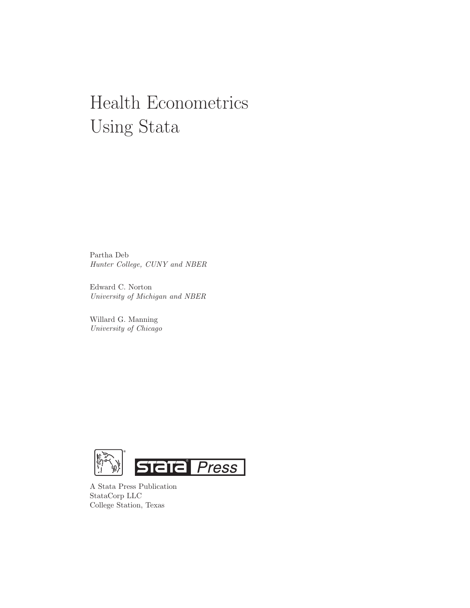# Health Econometrics Using Stata

Partha Deb Hunter College, CUNY and NBER

Edward C. Norton University of Michigan and NBER

Willard G. Manning University of Chicago



A Stata Press Publication StataCorp LLC College Station, Texas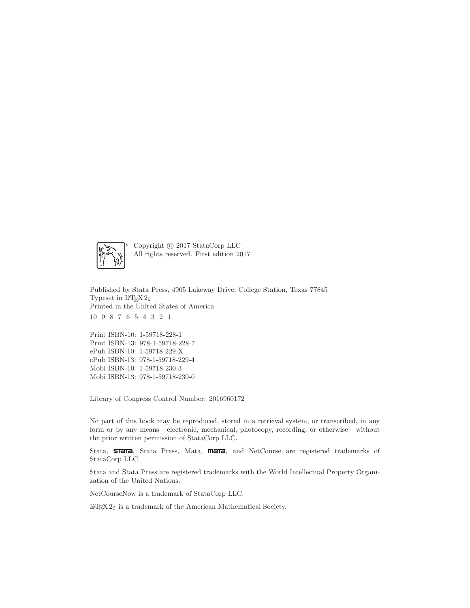

Copyright © 2017 StataCorp LLC All rights reserved. First edition 2017

Published by Stata Press, 4905 Lakeway Drive, College Station, Texas 77845 Typeset in  $\mathbb{H}\mathrm{Tr} X 2_\varepsilon$ Printed in the United States of America 10 9 8 7 6 5 4 3 2 1

Print ISBN-10: 1-59718-228-1 Print ISBN-13: 978-1-59718-228-7 ePub ISBN-10: 1-59718-229-X ePub ISBN-13: 978-1-59718-229-4 Mobi ISBN-10: 1-59718-230-3 Mobi ISBN-13: 978-1-59718-230-0

Library of Congress Control Number: 2016960172

No part of this book may be reproduced, stored in a retrieval system, or transcribed, in any form or by any means—electronic, mechanical, photocopy, recording, or otherwise—without the prior written permission of StataCorp LLC.

Stata, **Stata**, Stata Press, Mata, **mata**, and NetCourse are registered trademarks of StataCorp LLC.

Stata and Stata Press are registered trademarks with the World Intellectual Property Organization of the United Nations.

NetCourseNow is a trademark of StataCorp LLC.

 $\mathbb{F}\to \mathbb{F}$ 2 $\varepsilon$  is a trademark of the American Mathematical Society.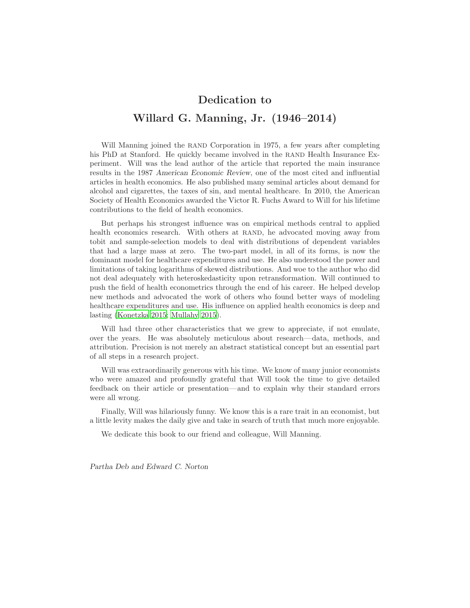# Dedication to Willard G. Manning, Jr. (1946–2014)

Will Manning joined the RAND Corporation in 1975, a few years after completing his PhD at Stanford. He quickly became involved in the RAND Health Insurance Experiment. Will was the lead author of the article that reported the main insurance results in the 1987 American Economic Review, one of the most cited and influential articles in health economics. He also published many seminal articles about demand for alcohol and cigarettes, the taxes of sin, and mental healthcare. In 2010, the American Society of Health Economics awarded the Victor R. Fuchs Award to Will for his lifetime contributions to the field of health economics.

But perhaps his strongest influence was on empirical methods central to applied health economics research. With others at RAND, he advocated moving away from tobit and sample-selection models to deal with distributions of dependent variables that had a large mass at zero. The two-part model, in all of its forms, is now the dominant model for healthcare expenditures and use. He also understood the power and limitations of taking logarithms of skewed distributions. And woe to the author who did not deal adequately with heteroskedasticity upon retransformation. Will continued to push the field of health econometrics through the end of his career. He helped develop new methods and advocated the work of others who found better ways of modeling healthcare expenditures and use. His influence on applied health economics is deep and lasting (Konetzka 2015; Mullahy 2015).

Will had three other characteristics that we grew to appreciate, if not emulate, over the years. He was absolutely meticulous about research—data, methods, and attribution. Precision is not merely an abstract statistical concept but an essential part of all steps in a research project.

Will was extraordinarily generous with his time. We know of many junior economists who were amazed and profoundly grateful that Will took the time to give detailed feedback on their article or presentation—and to explain why their standard errors were all wrong.

Finally, Will was hilariously funny. We know this is a rare trait in an economist, but a little levity makes the daily give and take in search of truth that much more enjoyable.

We dedicate this book to our friend and colleague, Will Manning.

Partha Deb and Edward C. Norton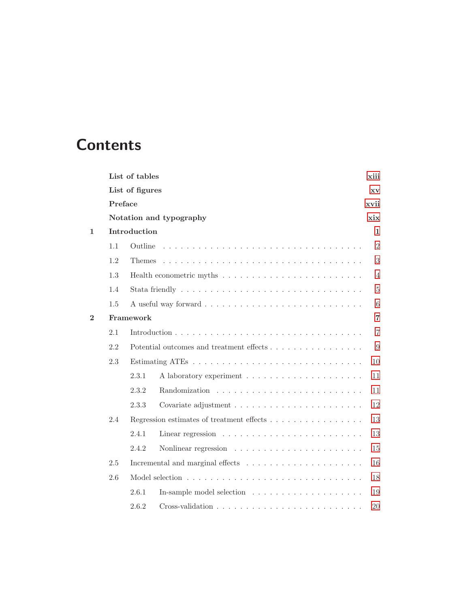# **Contents**

|                | List of tables  |                                          | xiii                                                                 |                |  |  |  |  |
|----------------|-----------------|------------------------------------------|----------------------------------------------------------------------|----------------|--|--|--|--|
|                | List of figures |                                          |                                                                      |                |  |  |  |  |
|                | Preface         |                                          |                                                                      | xvii           |  |  |  |  |
|                |                 | Notation and typography                  | $\overline{\mathbf{x}}$ ix                                           |                |  |  |  |  |
| 1              |                 | Introduction                             |                                                                      | 1              |  |  |  |  |
|                | 1.1             | Outline                                  |                                                                      | $\overline{2}$ |  |  |  |  |
|                | 1.2             |                                          |                                                                      | 3              |  |  |  |  |
|                | 1.3             |                                          |                                                                      | 4              |  |  |  |  |
|                | 1.4             |                                          |                                                                      | $\overline{5}$ |  |  |  |  |
|                | 1.5             |                                          |                                                                      |                |  |  |  |  |
| $\overline{2}$ | Framework       |                                          |                                                                      |                |  |  |  |  |
|                | 2.1             |                                          |                                                                      | $\overline{7}$ |  |  |  |  |
|                | 2.2             | Potential outcomes and treatment effects |                                                                      |                |  |  |  |  |
|                | 2.3             |                                          |                                                                      | 10             |  |  |  |  |
|                |                 | 2.3.1                                    |                                                                      | 11             |  |  |  |  |
|                |                 | 2.3.2                                    |                                                                      | 11             |  |  |  |  |
|                |                 | 2.3.3                                    |                                                                      | 12             |  |  |  |  |
|                | 2.4             |                                          | Regression estimates of treatment effects                            | 13             |  |  |  |  |
|                |                 | 2.4.1                                    | Linear regression $\ldots \ldots \ldots \ldots \ldots \ldots \ldots$ | 13             |  |  |  |  |
|                |                 | 2.4.2                                    |                                                                      | 15             |  |  |  |  |
|                | 2.5             |                                          |                                                                      | 16             |  |  |  |  |
|                | 2.6             |                                          |                                                                      | 18             |  |  |  |  |
|                |                 | 2.6.1                                    |                                                                      | 19             |  |  |  |  |
|                |                 | 2.6.2                                    |                                                                      | 20             |  |  |  |  |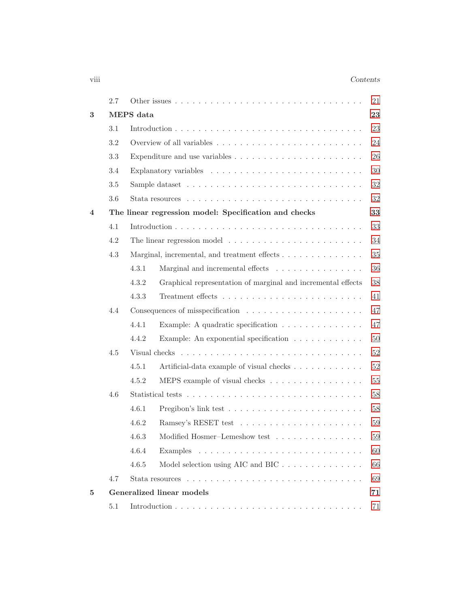#### viii Contents

|                | 2.7     |                                                                                 | 21     |
|----------------|---------|---------------------------------------------------------------------------------|--------|
| 3              |         | MEPS data                                                                       | 23     |
|                | 3.1     |                                                                                 | 23     |
|                | $3.2\,$ |                                                                                 | 24     |
|                | 3.3     |                                                                                 | 26     |
|                | 3.4     |                                                                                 | $30\,$ |
|                | 3.5     |                                                                                 | 32     |
|                | 3.6     |                                                                                 | 32     |
| $\overline{4}$ |         | The linear regression model: Specification and checks                           | 33     |
|                | 4.1     |                                                                                 | 33     |
|                | 4.2     |                                                                                 | 34     |
|                | 4.3     | Marginal, incremental, and treatment effects                                    | $35\,$ |
|                |         | 4.3.1<br>Marginal and incremental effects                                       | 36     |
|                |         | 4.3.2<br>Graphical representation of marginal and incremental effects           | 38     |
|                |         | 4.3.3                                                                           | 41     |
|                | 4.4     |                                                                                 | 47     |
|                |         | 4.4.1<br>Example: A quadratic specification                                     | 47     |
|                |         | 4.4.2<br>Example: An exponential specification                                  | $50\,$ |
|                | 4.5     |                                                                                 | $52\,$ |
|                |         | 4.5.1<br>Artificial-data example of visual checks                               | $52\,$ |
|                |         | MEPS example of visual checks<br>4.5.2                                          | 55     |
|                | 4.6     |                                                                                 | 58     |
|                |         | 4.6.1                                                                           | 58     |
|                |         | 4.6.2                                                                           | 59     |
|                |         | 4.6.3<br>Modified Hosmer-Lemeshow test                                          | 59     |
|                |         | 4.6.4                                                                           | 60     |
|                |         | Model selection using AIC and BIC $\ldots \ldots \ldots \ldots \ldots$<br>4.6.5 | 66     |
|                | 4.7     |                                                                                 | 69     |
| $\overline{5}$ |         | Generalized linear models                                                       | 71     |
|                | 5.1     |                                                                                 | 71     |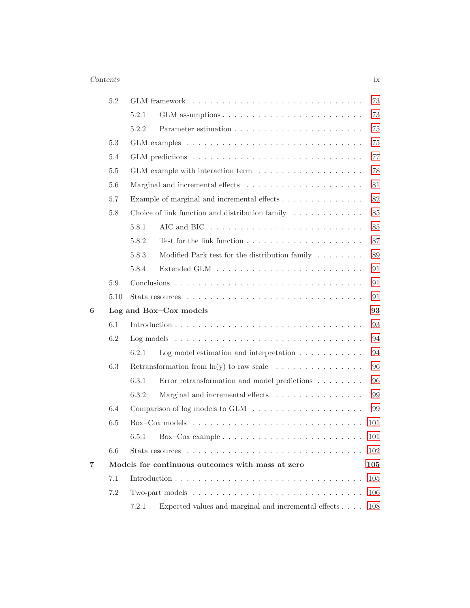#### Contents ix

|   | 5.2     | 73                                                                                                        |
|---|---------|-----------------------------------------------------------------------------------------------------------|
|   |         | 73<br>5.2.1                                                                                               |
|   |         | 75<br>5.2.2                                                                                               |
|   | 5.3     | 75                                                                                                        |
|   | 5.4     | 77                                                                                                        |
|   | 5.5     | 78                                                                                                        |
|   | 5.6     | 81                                                                                                        |
|   | $5.7\,$ | 82                                                                                                        |
|   | $5.8\,$ | 85<br>Choice of link function and distribution family $\ldots \ldots \ldots \ldots$                       |
|   |         | 85<br>5.8.1                                                                                               |
|   |         | 87<br>5.8.2                                                                                               |
|   |         | 89<br>5.8.3<br>Modified Park test for the distribution family $\ldots \ldots$                             |
|   |         | 5.8.4<br>91                                                                                               |
|   | 5.9     | 91                                                                                                        |
|   | 5.10    | 91                                                                                                        |
| 6 |         | 93<br>Log and Box-Cox models                                                                              |
|   | 6.1     | 93                                                                                                        |
|   | 6.2     | 94<br>Log models $\ldots \ldots \ldots \ldots \ldots \ldots \ldots \ldots \ldots \ldots \ldots$           |
|   |         | 94<br>6.2.1<br>Log model estimation and interpretation $\ldots \ldots \ldots$                             |
|   | 6.3     | Retransformation from $\ln(y)$ to raw scale<br>96                                                         |
|   |         | 96<br>6.3.1<br>Error retransformation and model predictions $\ldots \ldots$                               |
|   |         | 6.3.2<br>Marginal and incremental effects<br>$\boldsymbol{99}$                                            |
|   | 6.4     | 99                                                                                                        |
|   | 6.5     | $Box-Cox$ models $\ldots \ldots \ldots \ldots \ldots \ldots \ldots \ldots \ldots \ldots \ldots$<br>101    |
|   |         | $6.5.1$ Box-Cox example $\ldots$ , $\ldots$ , $\ldots$ , $\ldots$ , $\ldots$ , $\ldots$ , $\ldots$<br>101 |
|   | 6.6     | 102                                                                                                       |
| 7 |         | Models for continuous outcomes with mass at zero<br>105                                                   |
|   | 7.1     | 105                                                                                                       |
|   | 7.2     | Two-part models $\dots \dots \dots \dots \dots \dots \dots \dots \dots \dots \dots \dots$<br>106          |
|   |         | Expected values and marginal and incremental effects<br>7.2.1<br>108                                      |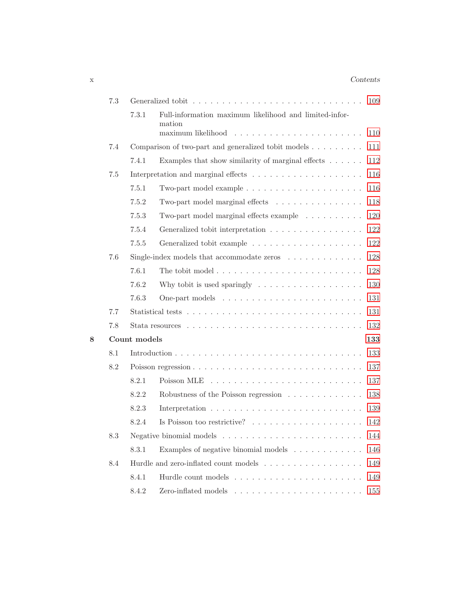| **<br>л | Contents |
|---------|----------|
|         |          |

|   | $7.3\,$ | Generalized tobit   |                                                                                        |         |  |  |  |
|---|---------|---------------------|----------------------------------------------------------------------------------------|---------|--|--|--|
|   |         | 7.3.1               | Full-information maximum likelihood and limited-infor-<br>mation<br>maximum likelihood | 110     |  |  |  |
|   | 7.4     |                     | Comparison of two-part and generalized to<br>bit models $\dots \dots \dots$            | 111     |  |  |  |
|   |         | 7.4.1               | Examples that show similarity of marginal effects $\dots \dots$                        | 112     |  |  |  |
|   | 7.5     |                     |                                                                                        | 116     |  |  |  |
|   |         | 7.5.1               | Two-part model example $\ldots \ldots \ldots \ldots \ldots \ldots \ldots$              | 116     |  |  |  |
|   |         | 7.5.2               | Two-part model marginal effects                                                        | 118     |  |  |  |
|   |         | 7.5.3               | Two-part model marginal effects example $\ldots \ldots \ldots$                         | 120     |  |  |  |
|   |         | 7.5.4               | Generalized tobit interpretation                                                       | 122     |  |  |  |
|   |         | 7.5.5               |                                                                                        | 122     |  |  |  |
|   | 7.6     |                     | Single-index models that accommodate zeros $\dots \dots \dots \dots$                   | 128     |  |  |  |
|   |         | 7.6.1               | The tobit model $\ldots \ldots \ldots \ldots \ldots \ldots \ldots \ldots \ldots$       | 128     |  |  |  |
|   |         | 7.6.2               | Why tobit is used sparingly $\dots \dots \dots \dots \dots \dots$                      | 130     |  |  |  |
|   |         | 7.6.3               | One-part models $\dots \dots \dots \dots \dots \dots \dots \dots \dots$                | 131     |  |  |  |
|   | 7.7     |                     |                                                                                        | 131     |  |  |  |
|   | 7.8     |                     |                                                                                        | 132     |  |  |  |
| 8 |         | Count models<br>133 |                                                                                        |         |  |  |  |
|   | 8.1     | 133                 |                                                                                        |         |  |  |  |
|   | 8.2     |                     |                                                                                        | 137     |  |  |  |
|   |         | 8.2.1               |                                                                                        | 137     |  |  |  |
|   |         | 8.2.2               | Robustness of the Poisson regression                                                   | 138     |  |  |  |
|   |         | 8.2.3               | Interpretation $\ldots \ldots \ldots \ldots \ldots \ldots \ldots \ldots \ldots$        | 139     |  |  |  |
|   |         | 8.2.4               | Is Poisson too restrictive? $\ldots \ldots \ldots \ldots \ldots \ldots$                | 142     |  |  |  |
|   | 8.3     |                     | Negative binomial models $\dots \dots \dots \dots \dots \dots \dots \dots \dots$       | 144     |  |  |  |
|   |         | 8.3.1               | Examples of negative binomial models $\ldots \ldots \ldots \ldots$                     | 146     |  |  |  |
|   | 8.4     |                     | Hurdle and zero-inflated count models $\ldots \ldots \ldots \ldots \ldots \ldots$      | 149     |  |  |  |
|   |         | 8.4.1               | Hurdle count models $\dots \dots \dots \dots \dots \dots \dots$                        | 149     |  |  |  |
|   |         | 8.4.2               | Zero-inflated models $\dots \dots \dots \dots \dots \dots \dots \dots \dots$           | $155\,$ |  |  |  |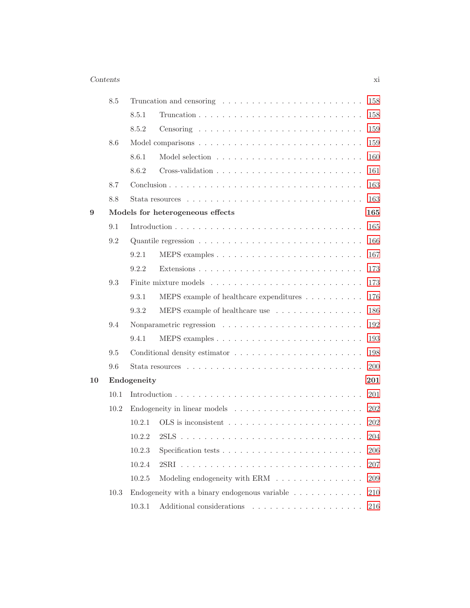#### Contents xi

|    | 8.5  | 158<br>Truncation and censoring $\ldots \ldots \ldots \ldots \ldots \ldots \ldots \ldots$            |
|----|------|------------------------------------------------------------------------------------------------------|
|    |      | 158<br>8.5.1                                                                                         |
|    |      | 8.5.2<br>159                                                                                         |
|    | 8.6  | 159                                                                                                  |
|    |      | 8.6.1<br>160                                                                                         |
|    |      | 8.6.2<br>161<br>$Cross-validation \dots \dots \dots \dots \dots \dots \dots \dots \dots \dots \dots$ |
|    | 8.7  | 163                                                                                                  |
|    | 8.8  | 163                                                                                                  |
| 9  |      | 165<br>Models for heterogeneous effects                                                              |
|    | 9.1  | 165                                                                                                  |
|    | 9.2  | 166                                                                                                  |
|    |      | 167<br>9.2.1                                                                                         |
|    |      | 173<br>9.2.2                                                                                         |
|    | 9.3  | 173                                                                                                  |
|    |      | 176<br>9.3.1<br>MEPS example of healthcare expenditures                                              |
|    |      | MEPS example of healthcare use<br>186<br>9.3.2                                                       |
|    | 9.4  | 192                                                                                                  |
|    |      | 193<br>9.4.1                                                                                         |
|    | 9.5  | 198                                                                                                  |
|    | 9.6  | 200                                                                                                  |
| 10 |      | 201<br>Endogeneity                                                                                   |
|    | 10.1 | 201                                                                                                  |
|    | 10.2 | 202                                                                                                  |
|    |      | 202<br>10.2.1                                                                                        |
|    |      | 10.2.2<br>204                                                                                        |
|    |      | 10.2.3<br>206                                                                                        |
|    |      | 10.2.4<br>207                                                                                        |
|    |      | 10.2.5<br>Modeling endogeneity with ERM $\ldots \ldots \ldots \ldots \ldots$<br>209                  |
|    | 10.3 | Endogeneity with a binary endogenous variable $\ldots \ldots \ldots \ldots$<br>210                   |
|    |      | 10.3.1<br>216                                                                                        |
|    |      |                                                                                                      |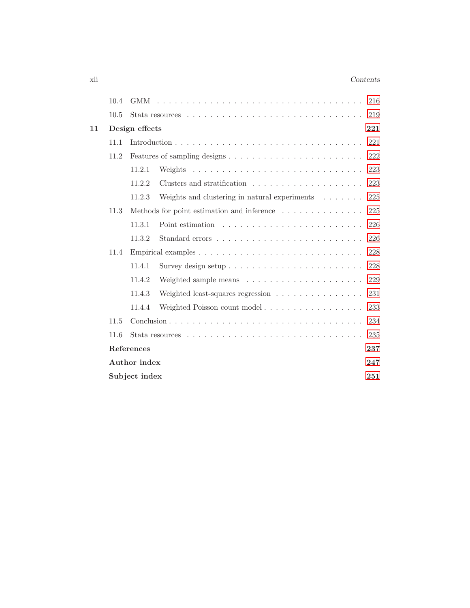#### xii Contents

|    | 10.4 | 216                                                                                |
|----|------|------------------------------------------------------------------------------------|
|    | 10.5 |                                                                                    |
| 11 |      | Design effects<br>221                                                              |
|    | 11.1 | 221                                                                                |
|    | 11.2 |                                                                                    |
|    |      | 11.2.1                                                                             |
|    |      | 11.2.2<br>223                                                                      |
|    |      | 11.2.3<br>Weights and clustering in natural experiments $\ldots \ldots$ 225        |
|    | 11.3 | Methods for point estimation and inference<br>225                                  |
|    |      | 11.3.1<br>226                                                                      |
|    |      | 11.3.2                                                                             |
|    | 11.4 | 228                                                                                |
|    |      | 11.4.1<br>228                                                                      |
|    |      | 11.4.2<br>229<br>Weighted sample means $\dots \dots \dots \dots \dots \dots \dots$ |
|    |      | 11.4.3<br>231<br>Weighted least-squares regression                                 |
|    |      | 11.4.4<br>233                                                                      |
|    | 11.5 | 234                                                                                |
|    | 11.6 | 235                                                                                |
|    |      | References<br>237                                                                  |
|    |      | Author index<br>247                                                                |
|    |      | Subject index<br>251                                                               |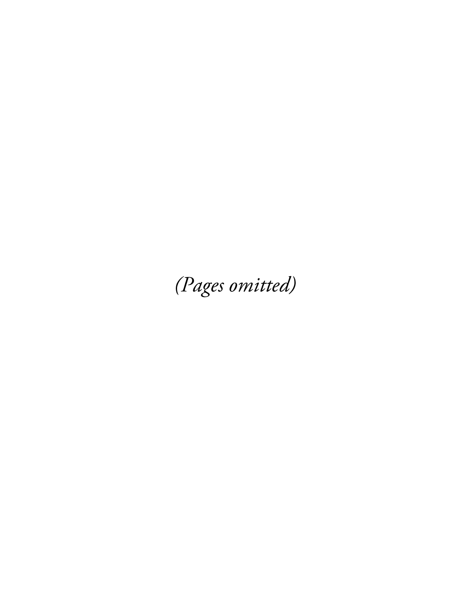(Pages omitted)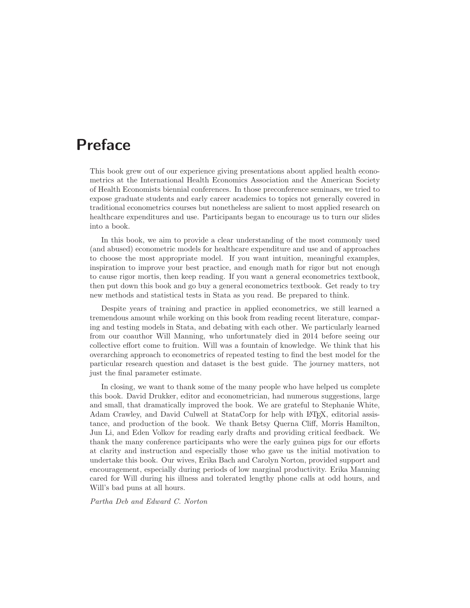## Preface

This book grew out of our experience giving presentations about applied health econometrics at the International Health Economics Association and the American Society of Health Economists biennial conferences. In those preconference seminars, we tried to expose graduate students and early career academics to topics not generally covered in traditional econometrics courses but nonetheless are salient to most applied research on healthcare expenditures and use. Participants began to encourage us to turn our slides into a book.

In this book, we aim to provide a clear understanding of the most commonly used (and abused) econometric models for healthcare expenditure and use and of approaches to choose the most appropriate model. If you want intuition, meaningful examples, inspiration to improve your best practice, and enough math for rigor but not enough to cause rigor mortis, then keep reading. If you want a general econometrics textbook, then put down this book and go buy a general econometrics textbook. Get ready to try new methods and statistical tests in Stata as you read. Be prepared to think.

Despite years of training and practice in applied econometrics, we still learned a tremendous amount while working on this book from reading recent literature, comparing and testing models in Stata, and debating with each other. We particularly learned from our coauthor Will Manning, who unfortunately died in 2014 before seeing our collective effort come to fruition. Will was a fountain of knowledge. We think that his overarching approach to econometrics of repeated testing to find the best model for the particular research question and dataset is the best guide. The journey matters, not just the final parameter estimate.

In closing, we want to thank some of the many people who have helped us complete this book. David Drukker, editor and econometrician, had numerous suggestions, large and small, that dramatically improved the book. We are grateful to Stephanie White, Adam Crawley, and David Culwell at StataCorp for help with L<sup>AT</sup>EX, editorial assistance, and production of the book. We thank Betsy Querna Cliff, Morris Hamilton, Jun Li, and Eden Volkov for reading early drafts and providing critical feedback. We thank the many conference participants who were the early guinea pigs for our efforts at clarity and instruction and especially those who gave us the initial motivation to undertake this book. Our wives, Erika Bach and Carolyn Norton, provided support and encouragement, especially during periods of low marginal productivity. Erika Manning cared for Will during his illness and tolerated lengthy phone calls at odd hours, and Will's bad puns at all hours.

Partha Deb and Edward C. Norton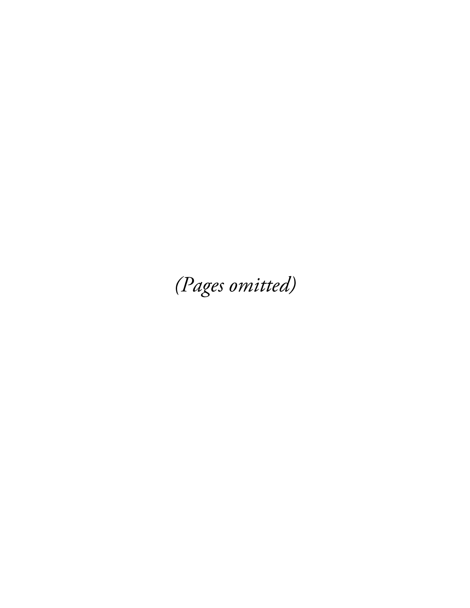(Pages omitted)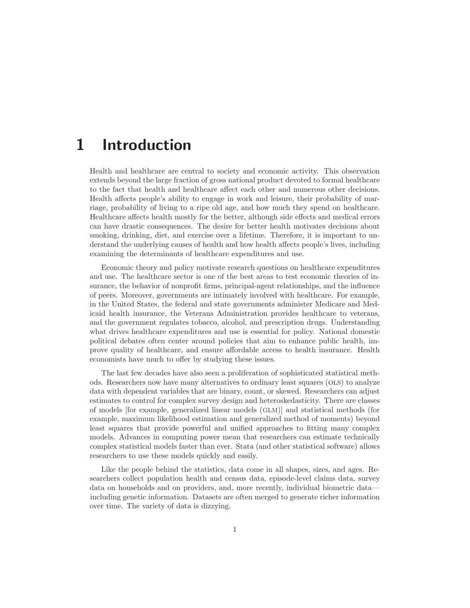# 1 Introduction

Health and healthcare are central to society and economic activity. This observation extends beyond the large fraction of gross national product devoted to formal healthcare to the fact that health and healthcare affect each other and numerous other decisions. Health affects people's ability to engage in work and leisure, their probability of marriage, probability of living to a ripe old age, and how much they spend on healthcare. Healthcare affects health mostly for the better, although side effects and medical errors can have drastic consequences. The desire for better health motivates decisions about smoking, drinking, diet, and exercise over a lifetime. Therefore, it is important to understand the underlying causes of health and how health affects people's lives, including examining the determinants of healthcare expenditures and use.

Economic theory and policy motivate research questions on healthcare expenditures and use. The healthcare sector is one of the best areas to test economic theories of insurance, the behavior of nonprofit firms, principal-agent relationships, and the influence of peers. Moreover, governments are intimately involved with healthcare. For example, in the United States, the federal and state governments administer Medicare and Medicaid health insurance, the Veterans Administration provides healthcare to veterans, and the government regulates tobacco, alcohol, and prescription drugs. Understanding what drives healthcare expenditures and use is essential for policy. National domestic political debates often center around policies that aim to enhance public health, improve quality of healthcare, and ensure affordable access to health insurance. Health economists have much to offer by studying these issues.

The last few decades have also seen a proliferation of sophisticated statistical methods. Researchers now have many alternatives to ordinary least squares (OLS) to analyze data with dependent variables that are binary, count, or skewed. Researchers can adjust estimates to control for complex survey design and heteroskedasticity. There are classes of models [for example, generalized linear models (GLM)] and statistical methods (for example, maximum likelihood estimation and generalized method of moments) beyond least squares that provide powerful and unified approaches to fitting many complex models. Advances in computing power mean that researchers can estimate technically complex statistical models faster than ever. Stata (and other statistical software) allows researchers to use these models quickly and easily.

Like the people behind the statistics, data come in all shapes, sizes, and ages. Researchers collect population health and census data, episode-level claims data, survey data on households and on providers, and, more recently, individual biometric data including genetic information. Datasets are often merged to generate richer information over time. The variety of data is dizzying.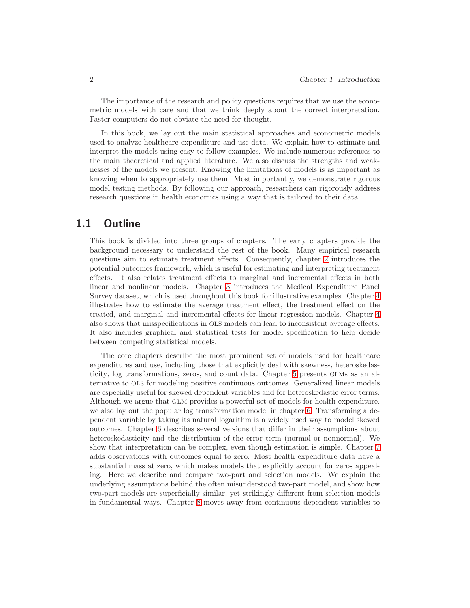The importance of the research and policy questions requires that we use the econometric models with care and that we think deeply about the correct interpretation. Faster computers do not obviate the need for thought.

In this book, we lay out the main statistical approaches and econometric models used to analyze healthcare expenditure and use data. We explain how to estimate and interpret the models using easy-to-follow examples. We include numerous references to the main theoretical and applied literature. We also discuss the strengths and weaknesses of the models we present. Knowing the limitations of models is as important as knowing when to appropriately use them. Most importantly, we demonstrate rigorous model testing methods. By following our approach, researchers can rigorously address research questions in health economics using a way that is tailored to their data.

#### 1.1 Outline

This book is divided into three groups of chapters. The early chapters provide the background necessary to understand the rest of the book. Many empirical research questions aim to estimate treatment effects. Consequently, chapter 2 introduces the potential outcomes framework, which is useful for estimating and interpreting treatment effects. It also relates treatment effects to marginal and incremental effects in both linear and nonlinear models. Chapter 3 introduces the Medical Expenditure Panel Survey dataset, which is used throughout this book for illustrative examples. Chapter 4 illustrates how to estimate the average treatment effect, the treatment effect on the treated, and marginal and incremental effects for linear regression models. Chapter 4 also shows that misspecifications in OLS models can lead to inconsistent average effects. It also includes graphical and statistical tests for model specification to help decide between competing statistical models.

The core chapters describe the most prominent set of models used for healthcare expenditures and use, including those that explicitly deal with skewness, heteroskedasticity, log transformations, zeros, and count data. Chapter 5 presents GLMs as an alternative to OLS for modeling positive continuous outcomes. Generalized linear models are especially useful for skewed dependent variables and for heteroskedastic error terms. Although we argue that GLM provides a powerful set of models for health expenditure, we also lay out the popular log transformation model in chapter 6. Transforming a dependent variable by taking its natural logarithm is a widely used way to model skewed outcomes. Chapter 6 describes several versions that differ in their assumptions about heteroskedasticity and the distribution of the error term (normal or nonnormal). We show that interpretation can be complex, even though estimation is simple. Chapter 7 adds observations with outcomes equal to zero. Most health expenditure data have a substantial mass at zero, which makes models that explicitly account for zeros appealing. Here we describe and compare two-part and selection models. We explain the underlying assumptions behind the often misunderstood two-part model, and show how two-part models are superficially similar, yet strikingly different from selection models in fundamental ways. Chapter 8 moves away from continuous dependent variables to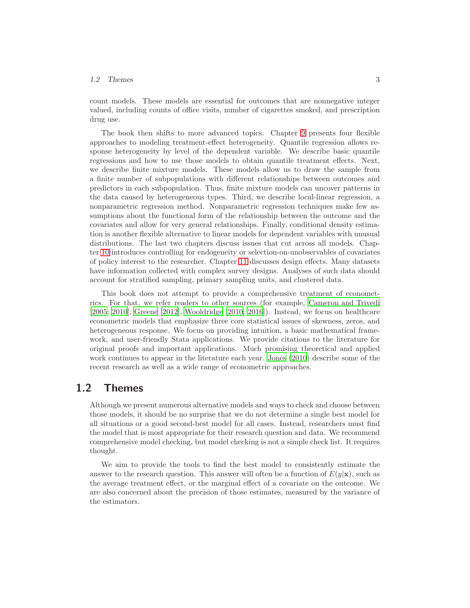#### 1.2 Themes 3

count models. These models are essential for outcomes that are nonnegative integer valued, including counts of office visits, number of cigarettes smoked, and prescription drug use.

The book then shifts to more advanced topics. Chapter 9 presents four flexible approaches to modeling treatment-effect heterogeneity. Quantile regression allows response heterogeneity by level of the dependent variable. We describe basic quantile regressions and how to use those models to obtain quantile treatment effects. Next, we describe finite mixture models. These models allow us to draw the sample from a finite number of subpopulations with different relationships between outcomes and predictors in each subpopulation. Thus, finite mixture models can uncover patterns in the data caused by heterogeneous types. Third, we describe local-linear regression, a nonparametric regression method. Nonparametric regression techniques make few assumptions about the functional form of the relationship between the outcome and the covariates and allow for very general relationships. Finally, conditional density estimation is another flexible alternative to linear models for dependent variables with unusual distributions. The last two chapters discuss issues that cut across all models. Chapter 10 introduces controlling for endogeneity or selection-on-unobservables of covariates of policy interest to the researcher. Chapter 11 discusses design effects. Many datasets have information collected with complex survey designs. Analyses of such data should account for stratified sampling, primary sampling units, and clustered data.

This book does not attempt to provide a comprehensive treatment of econometrics. For that, we refer readers to other sources (for example, Cameron and Trivedi [2005; 2010], Greene [2012], Wooldridge [2010; 2016]). Instead, we focus on healthcare econometric models that emphasize three core statistical issues of skewness, zeros, and heterogeneous response. We focus on providing intuition, a basic mathematical framework, and user-friendly Stata applications. We provide citations to the literature for original proofs and important applications. Much promising theoretical and applied work continues to appear in the literature each year. Jones (2010) describe some of the recent research as well as a wide range of econometric approaches.

#### 1.2 Themes

Although we present numerous alternative models and ways to check and choose between those models, it should be no surprise that we do not determine a single best model for all situations or a good second-best model for all cases. Instead, researchers must find the model that is most appropriate for their research question and data. We recommend comprehensive model checking, but model checking is not a simple check list. It requires thought.

We aim to provide the tools to find the best model to consistently estimate the answer to the research question. This answer will often be a function of  $E(y|x)$ , such as the average treatment effect, or the marginal effect of a covariate on the outcome. We are also concerned about the precision of those estimates, measured by the variance of the estimators.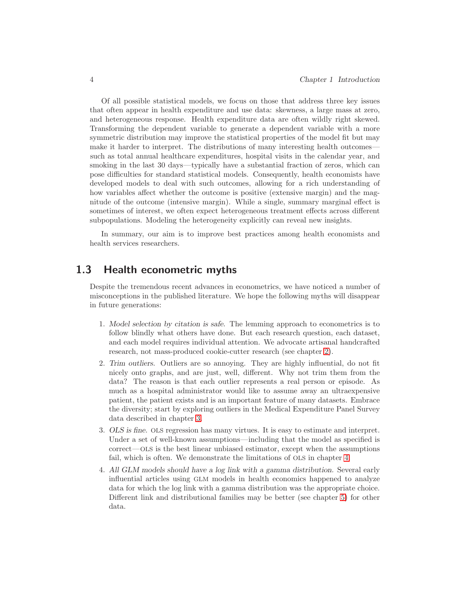Of all possible statistical models, we focus on those that address three key issues that often appear in health expenditure and use data: skewness, a large mass at zero, and heterogeneous response. Health expenditure data are often wildly right skewed. Transforming the dependent variable to generate a dependent variable with a more symmetric distribution may improve the statistical properties of the model fit but may make it harder to interpret. The distributions of many interesting health outcomes such as total annual healthcare expenditures, hospital visits in the calendar year, and smoking in the last 30 days—typically have a substantial fraction of zeros, which can pose difficulties for standard statistical models. Consequently, health economists have developed models to deal with such outcomes, allowing for a rich understanding of how variables affect whether the outcome is positive (extensive margin) and the magnitude of the outcome (intensive margin). While a single, summary marginal effect is sometimes of interest, we often expect heterogeneous treatment effects across different subpopulations. Modeling the heterogeneity explicitly can reveal new insights.

In summary, our aim is to improve best practices among health economists and health services researchers.

### 1.3 Health econometric myths

Despite the tremendous recent advances in econometrics, we have noticed a number of misconceptions in the published literature. We hope the following myths will disappear in future generations:

- 1. Model selection by citation is safe. The lemming approach to econometrics is to follow blindly what others have done. But each research question, each dataset, and each model requires individual attention. We advocate artisanal handcrafted research, not mass-produced cookie-cutter research (see chapter 2).
- 2. Trim outliers. Outliers are so annoying. They are highly influential, do not fit nicely onto graphs, and are just, well, different. Why not trim them from the data? The reason is that each outlier represents a real person or episode. As much as a hospital administrator would like to assume away an ultraexpensive patient, the patient exists and is an important feature of many datasets. Embrace the diversity; start by exploring outliers in the Medical Expenditure Panel Survey data described in chapter 3.
- 3. OLS is fine. OLS regression has many virtues. It is easy to estimate and interpret. Under a set of well-known assumptions—including that the model as specified is correct—OLS is the best linear unbiased estimator, except when the assumptions fail, which is often. We demonstrate the limitations of OLS in chapter 4.
- 4. All GLM models should have a log link with a gamma distribution. Several early influential articles using GLM models in health economics happened to analyze data for which the log link with a gamma distribution was the appropriate choice. Different link and distributional families may be better (see chapter 5) for other data.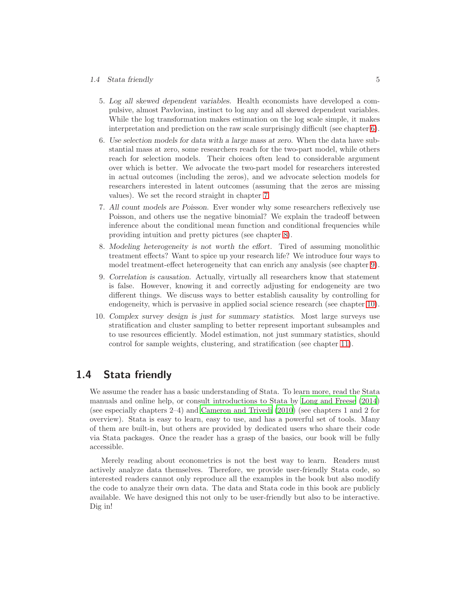#### 1.4 Stata friendly 5

- 5. Log all skewed dependent variables. Health economists have developed a compulsive, almost Pavlovian, instinct to log any and all skewed dependent variables. While the log transformation makes estimation on the log scale simple, it makes interpretation and prediction on the raw scale surprisingly difficult (see chapter 6).
- 6. Use selection models for data with a large mass at zero. When the data have substantial mass at zero, some researchers reach for the two-part model, while others reach for selection models. Their choices often lead to considerable argument over which is better. We advocate the two-part model for researchers interested in actual outcomes (including the zeros), and we advocate selection models for researchers interested in latent outcomes (assuming that the zeros are missing values). We set the record straight in chapter 7.
- 7. All count models are Poisson. Ever wonder why some researchers reflexively use Poisson, and others use the negative binomial? We explain the tradeoff between inference about the conditional mean function and conditional frequencies while providing intuition and pretty pictures (see chapter 8).
- 8. Modeling heterogeneity is not worth the effort. Tired of assuming monolithic treatment effects? Want to spice up your research life? We introduce four ways to model treatment-effect heterogeneity that can enrich any analysis (see chapter 9).
- 9. Correlation is causation. Actually, virtually all researchers know that statement is false. However, knowing it and correctly adjusting for endogeneity are two different things. We discuss ways to better establish causality by controlling for endogeneity, which is pervasive in applied social science research (see chapter 10).
- 10. Complex survey design is just for summary statistics. Most large surveys use stratification and cluster sampling to better represent important subsamples and to use resources efficiently. Model estimation, not just summary statistics, should control for sample weights, clustering, and stratification (see chapter 11).

## 1.4 Stata friendly

We assume the reader has a basic understanding of Stata. To learn more, read the Stata manuals and online help, or consult introductions to Stata by Long and Freese (2014) (see especially chapters 2–4) and Cameron and Trivedi (2010) (see chapters 1 and 2 for overview). Stata is easy to learn, easy to use, and has a powerful set of tools. Many of them are built-in, but others are provided by dedicated users who share their code via Stata packages. Once the reader has a grasp of the basics, our book will be fully accessible.

Merely reading about econometrics is not the best way to learn. Readers must actively analyze data themselves. Therefore, we provide user-friendly Stata code, so interested readers cannot only reproduce all the examples in the book but also modify the code to analyze their own data. The data and Stata code in this book are publicly available. We have designed this not only to be user-friendly but also to be interactive. Dig in!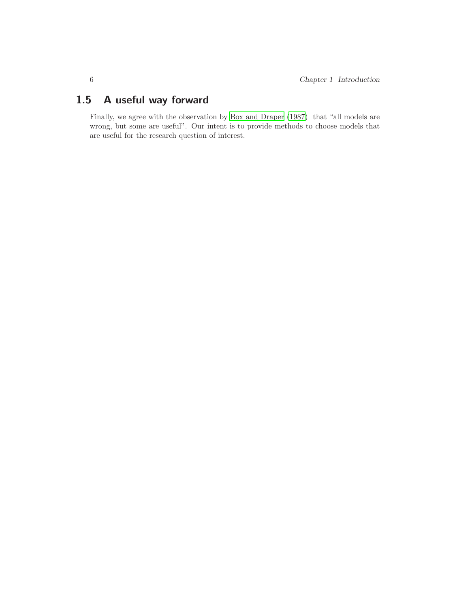## 1.5 A useful way forward

Finally, we agree with the observation by Box and Draper (1987) that "all models are wrong, but some are useful". Our intent is to provide methods to choose models that are useful for the research question of interest.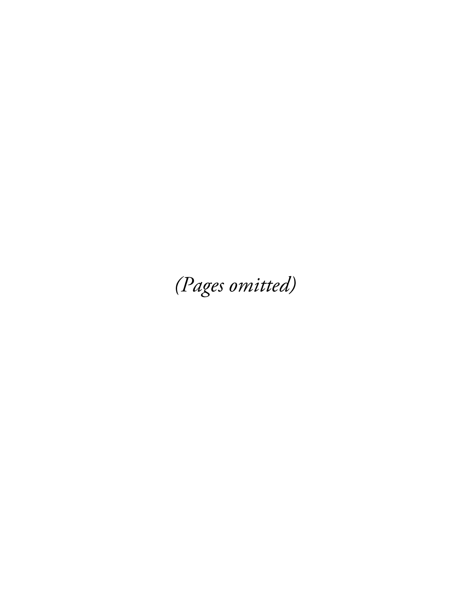(Pages omitted)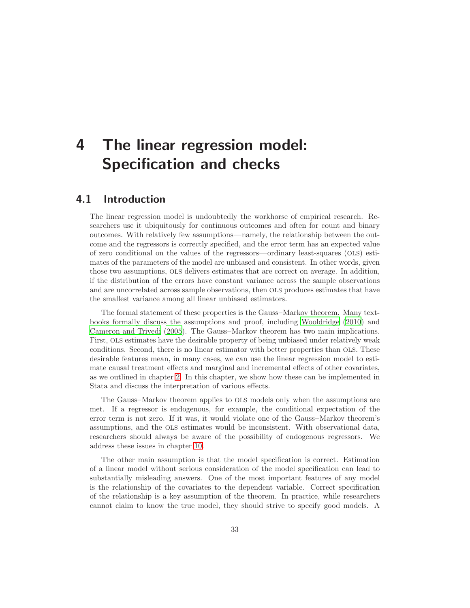# 4 The linear regression model: Specification and checks

## 4.1 Introduction

The linear regression model is undoubtedly the workhorse of empirical research. Researchers use it ubiquitously for continuous outcomes and often for count and binary outcomes. With relatively few assumptions—namely, the relationship between the outcome and the regressors is correctly specified, and the error term has an expected value of zero conditional on the values of the regressors—ordinary least-squares (OLS) estimates of the parameters of the model are unbiased and consistent. In other words, given those two assumptions, OLS delivers estimates that are correct on average. In addition, if the distribution of the errors have constant variance across the sample observations and are uncorrelated across sample observations, then OLS produces estimates that have the smallest variance among all linear unbiased estimators.

The formal statement of these properties is the Gauss–Markov theorem. Many textbooks formally discuss the assumptions and proof, including Wooldridge (2010) and Cameron and Trivedi (2005). The Gauss–Markov theorem has two main implications. First, OLS estimates have the desirable property of being unbiased under relatively weak conditions. Second, there is no linear estimator with better properties than OLS. These desirable features mean, in many cases, we can use the linear regression model to estimate causal treatment effects and marginal and incremental effects of other covariates, as we outlined in chapter 2. In this chapter, we show how these can be implemented in Stata and discuss the interpretation of various effects.

The Gauss–Markov theorem applies to OLS models only when the assumptions are met. If a regressor is endogenous, for example, the conditional expectation of the error term is not zero. If it was, it would violate one of the Gauss–Markov theorem's assumptions, and the OLS estimates would be inconsistent. With observational data, researchers should always be aware of the possibility of endogenous regressors. We address these issues in chapter 10.

The other main assumption is that the model specification is correct. Estimation of a linear model without serious consideration of the model specification can lead to substantially misleading answers. One of the most important features of any model is the relationship of the covariates to the dependent variable. Correct specification of the relationship is a key assumption of the theorem. In practice, while researchers cannot claim to know the true model, they should strive to specify good models. A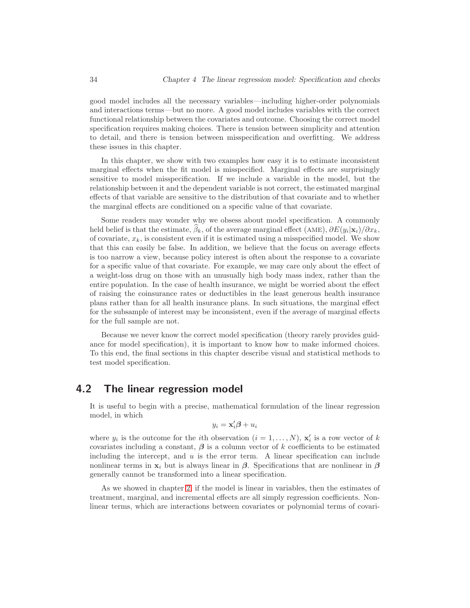good model includes all the necessary variables—including higher-order polynomials and interactions terms—but no more. A good model includes variables with the correct functional relationship between the covariates and outcome. Choosing the correct model specification requires making choices. There is tension between simplicity and attention to detail, and there is tension between misspecification and overfitting. We address these issues in this chapter.

In this chapter, we show with two examples how easy it is to estimate inconsistent marginal effects when the fit model is misspecified. Marginal effects are surprisingly sensitive to model misspecification. If we include a variable in the model, but the relationship between it and the dependent variable is not correct, the estimated marginal effects of that variable are sensitive to the distribution of that covariate and to whether the marginal effects are conditioned on a specific value of that covariate.

Some readers may wonder why we obsess about model specification. A commonly held belief is that the estimate,  $\beta_k$ , of the average marginal effect (AME),  $\partial E(y_i|\mathbf{x}_i)/\partial x_k$ , of covariate,  $x_k$ , is consistent even if it is estimated using a misspecified model. We show that this can easily be false. In addition, we believe that the focus on average effects is too narrow a view, because policy interest is often about the response to a covariate for a specific value of that covariate. For example, we may care only about the effect of a weight-loss drug on those with an unusually high body mass index, rather than the entire population. In the case of health insurance, we might be worried about the effect of raising the coinsurance rates or deductibles in the least generous health insurance plans rather than for all health insurance plans. In such situations, the marginal effect for the subsample of interest may be inconsistent, even if the average of marginal effects for the full sample are not.

Because we never know the correct model specification (theory rarely provides guidance for model specification), it is important to know how to make informed choices. To this end, the final sections in this chapter describe visual and statistical methods to test model specification.

### 4.2 The linear regression model

It is useful to begin with a precise, mathematical formulation of the linear regression model, in which

$$
y_i = \mathbf{x}'_i \boldsymbol{\beta} + u_i
$$

where  $y_i$  is the outcome for the *i*th observation  $(i = 1, ..., N)$ ,  $\mathbf{x}'_i$  is a row vector of k covariates including a constant,  $\beta$  is a column vector of k coefficients to be estimated including the intercept, and  $u$  is the error term. A linear specification can include nonlinear terms in  $x_i$  but is always linear in  $\beta$ . Specifications that are nonlinear in  $\beta$ generally cannot be transformed into a linear specification.

As we showed in chapter 2, if the model is linear in variables, then the estimates of treatment, marginal, and incremental effects are all simply regression coefficients. Nonlinear terms, which are interactions between covariates or polynomial terms of covari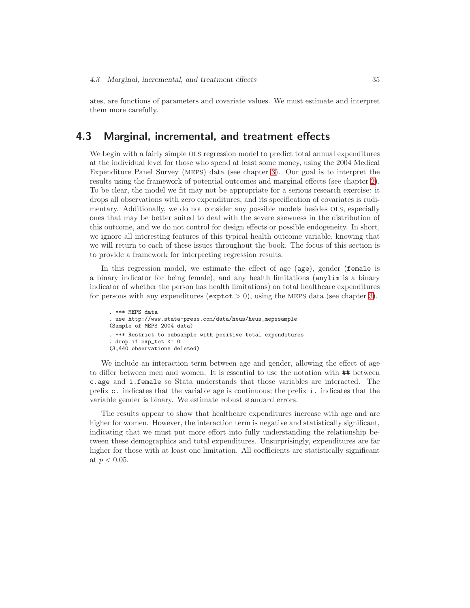ates, are functions of parameters and covariate values. We must estimate and interpret them more carefully.

## 4.3 Marginal, incremental, and treatment effects

We begin with a fairly simple OLS regression model to predict total annual expenditures at the individual level for those who spend at least some money, using the 2004 Medical Expenditure Panel Survey (MEPS) data (see chapter 3). Our goal is to interpret the results using the framework of potential outcomes and marginal effects (see chapter 2). To be clear, the model we fit may not be appropriate for a serious research exercise: it drops all observations with zero expenditures, and its specification of covariates is rudimentary. Additionally, we do not consider any possible models besides OLS, especially ones that may be better suited to deal with the severe skewness in the distribution of this outcome, and we do not control for design effects or possible endogeneity. In short, we ignore all interesting features of this typical health outcome variable, knowing that we will return to each of these issues throughout the book. The focus of this section is to provide a framework for interpreting regression results.

In this regression model, we estimate the effect of age (age), gender (female is a binary indicator for being female), and any health limitations (anylim is a binary indicator of whether the person has health limitations) on total healthcare expenditures for persons with any expenditures ( $\exp\{\cot > 0\}$ ), using the MEPS data (see chapter 3).

```
. *** MEPS data
. use http://www.stata-press.com/data/heus/heus_mepssample
(Sample of MEPS 2004 data)
. *** Restrict to subsample with positive total expenditures
. drop if exp_tot <= 0
(3,440 observations deleted)
```
We include an interaction term between age and gender, allowing the effect of age to differ between men and women. It is essential to use the notation with ## between c.age and i.female so Stata understands that those variables are interacted. The prefix c. indicates that the variable age is continuous; the prefix i. indicates that the variable gender is binary. We estimate robust standard errors.

The results appear to show that healthcare expenditures increase with age and are higher for women. However, the interaction term is negative and statistically significant, indicating that we must put more effort into fully understanding the relationship between these demographics and total expenditures. Unsurprisingly, expenditures are far higher for those with at least one limitation. All coefficients are statistically significant at  $p < 0.05$ .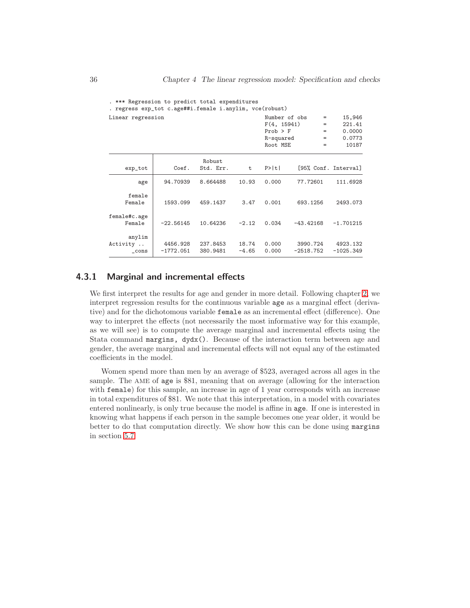| . regress exp_tot c.age##i.female i.anylim, vce(robust) |                                                                       |                               |                                               |                |                         |                         |
|---------------------------------------------------------|-----------------------------------------------------------------------|-------------------------------|-----------------------------------------------|----------------|-------------------------|-------------------------|
| Linear regression                                       | Number of obs<br>F(4, 15941)<br>$Prob$ > $F$<br>R-squared<br>Root MSE | $=$<br>$=$<br>$=$<br>$=$<br>= | 15,946<br>221.41<br>0.0000<br>0.0773<br>10187 |                |                         |                         |
| exp_tot                                                 | Coef.                                                                 | Robust<br>Std. Err.           | t.                                            | P>  t          |                         | [95% Conf. Interval]    |
| age                                                     | 94.70939                                                              | 8.664488                      | 10.93                                         | 0.000          | 77.72601                | 111.6928                |
| female<br>Female                                        | 1593.099                                                              | 459.1437                      | 3.47                                          | 0.001          | 693.1256                | 2493.073                |
| female#c.age<br>Female                                  | $-22.56145$                                                           | 10.64236                      | $-2.12$                                       | 0.034          | $-43.42168$             | $-1.701215$             |
| anylim<br>Activity<br>cons                              | 4456.928<br>$-1772.051$                                               | 237.8453<br>380.9481          | 18.74<br>$-4.65$                              | 0.000<br>0.000 | 3990.724<br>$-2518.752$ | 4923.132<br>$-1025.349$ |

. \*\*\* Regression to predict total expenditures

#### 4.3.1 Marginal and incremental effects

We first interpret the results for age and gender in more detail. Following chapter 2, we interpret regression results for the continuous variable age as a marginal effect (derivative) and for the dichotomous variable female as an incremental effect (difference). One way to interpret the effects (not necessarily the most informative way for this example, as we will see) is to compute the average marginal and incremental effects using the Stata command margins, dydx(). Because of the interaction term between age and gender, the average marginal and incremental effects will not equal any of the estimated coefficients in the model.

Women spend more than men by an average of \$523, averaged across all ages in the sample. The AME of age is \$81, meaning that on average (allowing for the interaction with female) for this sample, an increase in age of 1 year corresponds with an increase in total expenditures of \$81. We note that this interpretation, in a model with covariates entered nonlinearly, is only true because the model is affine in age. If one is interested in knowing what happens if each person in the sample becomes one year older, it would be better to do that computation directly. We show how this can be done using margins in section 5.7.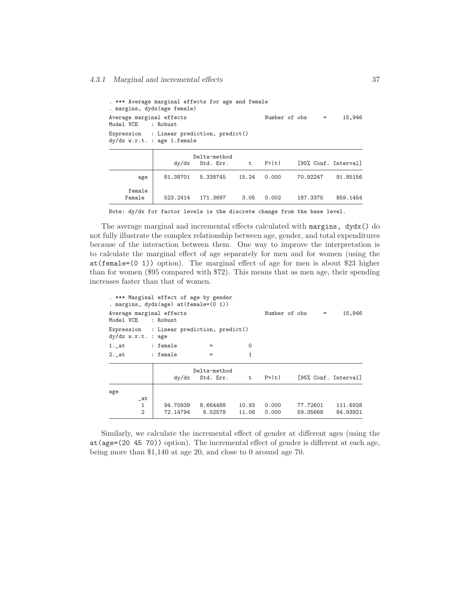|                                                | Delta-method                                                                     |                   |        |
|------------------------------------------------|----------------------------------------------------------------------------------|-------------------|--------|
|                                                | Expression : Linear prediction, predict()<br>$dy/dx$ w.r.t. : age 1.female       |                   |        |
| Average marginal effects<br>Model VCE : Robust |                                                                                  | Number of $obs =$ | 15,946 |
|                                                | . *** Average marginal effects for age and female<br>. margins, dydx(age female) |                   |        |

|                  | Delta-method |           |       |       |                      |          |
|------------------|--------------|-----------|-------|-------|----------------------|----------|
|                  | dv/dx        | Std. Err. | t     | P> t  | [95% Conf. Interval] |          |
| age              | 81.38701     | 5.338745  | 15.24 | 0.000 | 70.92247             | 91.85156 |
| female<br>Female | 523.2414     | 171.3697  | 3.05  | 0.002 | 187.3375             | 859.1454 |

Note: dy/dx for factor levels is the discrete change from the base level.

The average marginal and incremental effects calculated with margins, dydx() do not fully illustrate the complex relationship between age, gender, and total expenditures because of the interaction between them. One way to improve the interpretation is to calculate the marginal effect of age separately for men and for women (using the  $at(female=(0 1))$  option). The marginal effect of age for men is about \$23 higher than for women (\$95 compared with \$72). This means that as men age, their spending increases faster than that of women.

| . margins, dydx(age) at(female=(0 1)) |                           | . *** Marginal effect of age by gender       |          |                   |          |          |
|---------------------------------------|---------------------------|----------------------------------------------|----------|-------------------|----------|----------|
| Average marginal effects<br>Model VCE | : Robust                  |                                              |          | Number of $obs =$ | 15,946   |          |
| $dy/dx$ w.r.t. : age                  |                           | Expression : Linear prediction, predict()    |          |                   |          |          |
| $1.-at$                               | $: \; \; \texttt{female}$ | $=$                                          | $\Omega$ |                   |          |          |
| $2.-at$                               | : female                  | $=$                                          | 1        |                   |          |          |
|                                       |                           | Delta-method                                 |          |                   |          |          |
|                                       |                           | dy/dx Std. Err. t P> t  [95% Conf. Interval] |          |                   |          |          |
| age                                   |                           |                                              |          |                   |          |          |
| $_{\rm -}$ at                         |                           |                                              |          |                   |          |          |
| 1                                     |                           | 94.70939 8.664488                            | 10.93    | 0.000             | 77.72601 | 111.6928 |
| $\overline{2}$                        |                           | 72.14794 6.52578                             | 11.06    | 0.000             | 59.35668 | 84.93921 |

Similarly, we calculate the incremental effect of gender at different ages (using the at(age=(20 45 70)) option). The incremental effect of gender is different at each age, being more than \$1,140 at age 20, and close to 0 around age 70.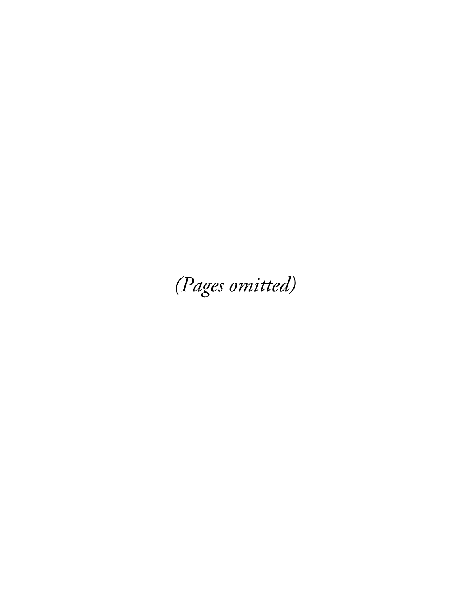(Pages omitted)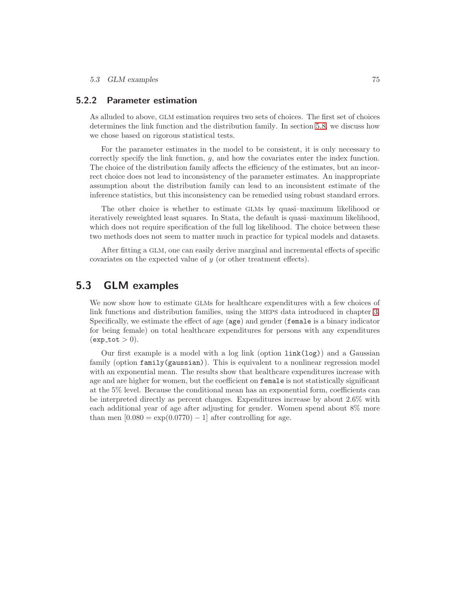#### 5.2.2 Parameter estimation

As alluded to above, GLM estimation requires two sets of choices. The first set of choices determines the link function and the distribution family. In section 5.8, we discuss how we chose based on rigorous statistical tests.

For the parameter estimates in the model to be consistent, it is only necessary to correctly specify the link function, g, and how the covariates enter the index function. The choice of the distribution family affects the efficiency of the estimates, but an incorrect choice does not lead to inconsistency of the parameter estimates. An inappropriate assumption about the distribution family can lead to an inconsistent estimate of the inference statistics, but this inconsistency can be remedied using robust standard errors.

The other choice is whether to estimate GLMs by quasi–maximum likelihood or iteratively reweighted least squares. In Stata, the default is quasi–maximum likelihood, which does not require specification of the full log likelihood. The choice between these two methods does not seem to matter much in practice for typical models and datasets.

After fitting a GLM, one can easily derive marginal and incremental effects of specific covariates on the expected value of y (or other treatment effects).

#### 5.3 GLM examples

We now show how to estimate GLMs for healthcare expenditures with a few choices of link functions and distribution families, using the MEPS data introduced in chapter 3. Specifically, we estimate the effect of age (age) and gender (female is a binary indicator for being female) on total healthcare expenditures for persons with any expenditures  $(\texttt{exp\_tot} > 0).$ 

Our first example is a model with a log link (option link(log)) and a Gaussian family (option  $family(gaussian)$ ). This is equivalent to a nonlinear regression model with an exponential mean. The results show that healthcare expenditures increase with age and are higher for women, but the coefficient on female is not statistically significant at the 5% level. Because the conditional mean has an exponential form, coefficients can be interpreted directly as percent changes. Expenditures increase by about 2.6% with each additional year of age after adjusting for gender. Women spend about 8% more than men  $[0.080 = \exp(0.0770) - 1]$  after controlling for age.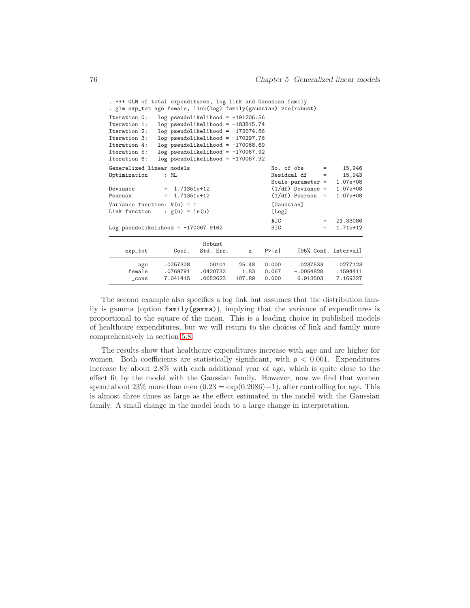| . *** GLM of total expenditures, log link and Gaussian family<br>. glm exp_tot age female, link(log) family(gaussian) vce(robust) |                                                                                                                                                                                                                                                                                 |                                         |                         |                         |                                                |                              |                                          |
|-----------------------------------------------------------------------------------------------------------------------------------|---------------------------------------------------------------------------------------------------------------------------------------------------------------------------------------------------------------------------------------------------------------------------------|-----------------------------------------|-------------------------|-------------------------|------------------------------------------------|------------------------------|------------------------------------------|
| Iteration 0:<br>Iteration 1:<br>Iteration 2:<br>Iteration 3:<br>Iteration 4:<br>Iteration 5:<br>Iteration 6:                      | $log$ pseudolikelihood = -191206.56<br>$log$ pseudolikelihood = $-183815.74$<br>$log$ pseudolikelihood = -172074.86<br>$log$ pseudolikelihood = -170297.76<br>$log$ pseudolikelihood = -170068.69<br>$log$ pseudolikelihood = -170067.92<br>$log$ pseudolikelihood = -170067.92 |                                         |                         |                         |                                                |                              |                                          |
| Generalized linear models<br>Optimization                                                                                         | : ML                                                                                                                                                                                                                                                                            |                                         |                         |                         | No. of obs<br>Residual df<br>Scale parameter = | $=$ $-$<br>$\equiv$ $\equiv$ | 15,946<br>15,943<br>1.07e+08             |
| Deviance<br>Pearson                                                                                                               | = 1.71351e+12<br>$= 1.71351e+12$                                                                                                                                                                                                                                                |                                         |                         |                         | $(1/df)$ Pearson =                             |                              | $(1/df)$ Deviance = 1.07e+08<br>1.07e+08 |
| Variance function: $V(u) = 1$<br>Link function                                                                                    | : $g(u) = ln(u)$                                                                                                                                                                                                                                                                |                                         |                         | [Gaussian]<br>[Log]     |                                                |                              |                                          |
| Log pseudolikelihood = $-170067.9162$                                                                                             |                                                                                                                                                                                                                                                                                 |                                         |                         | AIC<br>BIC              |                                                | $=$ $-$<br>$=$               | 21.33086<br>1.71e+12                     |
| exp_tot                                                                                                                           | Coef.                                                                                                                                                                                                                                                                           | Robust<br>Std. Err.                     | $\mathbf{z}$            | P >  z                  |                                                |                              | [95% Conf. Interval]                     |
| age<br>female<br>$\_cons$                                                                                                         | .0257328<br>7.041415                                                                                                                                                                                                                                                            | .00101<br>.0769791 .0420732<br>.0652623 | 25.48<br>1.83<br>107.89 | 0.000<br>0.067<br>0.000 | .0237533<br>-.0054828<br>6.913503              |                              | .0277123<br>.1594411<br>7.169327         |

The second example also specifies a log link but assumes that the distribution family is gamma (option family(gamma)), implying that the variance of expenditures is proportional to the square of the mean. This is a leading choice in published models of healthcare expenditures, but we will return to the choices of link and family more comprehensively in section 5.8.

The results show that healthcare expenditures increase with age and are higher for women. Both coefficients are statistically significant, with  $p < 0.001$ . Expenditures increase by about 2.8% with each additional year of age, which is quite close to the effect fit by the model with the Gaussian family. However, now we find that women spend about 23% more than men  $(0.23 = \exp(0.2086) - 1)$ , after controlling for age. This is almost three times as large as the effect estimated in the model with the Gaussian family. A small change in the model leads to a large change in interpretation.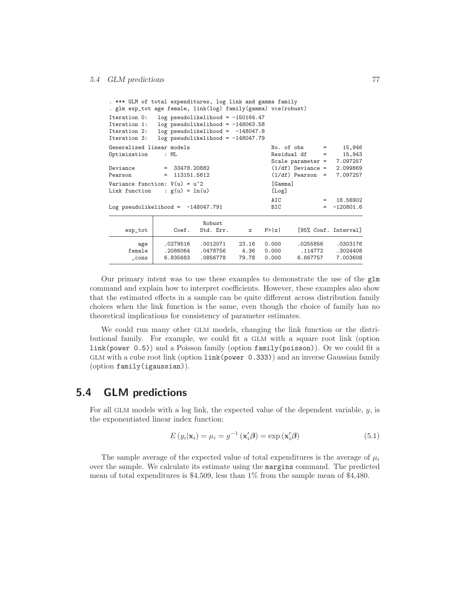#### 5.4 GLM predictions 77

| $log$ pseudolikelihood = $-150164.47$<br>Iteration 0:<br>$log$ pseudolikelihood = -148063.58<br>Iteration 1:<br>Iteration 2: log pseudolikelihood = $-148047.8$<br>$log$ pseudolikelihood = -148047.79<br>Iteration 3: |                                  |
|------------------------------------------------------------------------------------------------------------------------------------------------------------------------------------------------------------------------|----------------------------------|
| Generalized linear models<br>No. of obs<br>$=$<br>$Residual df =$<br>Optimization<br>: ML<br>Scale parameter = $7.097257$                                                                                              | 15,946<br>15,943                 |
| $(1/df)$ Deviance = 2.099869<br>Deviance<br>$= 33478.20882$<br>$(1/df)$ Pearson = 7.097257<br>$= 113151.5612$<br>Pearson                                                                                               |                                  |
| Variance function: $V(u) = u^2$<br>[Gamma]<br>: $g(u) = ln(u)$<br>[Log]<br>Link function                                                                                                                               |                                  |
| AIC<br>$=$<br><b>BIC</b><br>Log pseudolikelihood = $-148047.791$<br>$=$                                                                                                                                                | 18.56902<br>$-120801.6$          |
| Robust<br>P >  z <br>[95% Conf. Interval]<br>Coef.<br>Std. Err.<br>exp_tot<br>$Z -$                                                                                                                                    |                                  |
| .0012071<br>23.16<br>0.000<br>.0279516<br>.0255856<br>age<br>female<br>.2086064.0478756<br>4.36<br>0.000<br>.114772<br>6.835683<br>.0856778<br>79.78<br>0.000<br>6.667757<br>$_{\rm -cons}$                            | .0303176<br>.3024408<br>7.003608 |

Our primary intent was to use these examples to demonstrate the use of the glm command and explain how to interpret coefficients. However, these examples also show that the estimated effects in a sample can be quite different across distribution family choices when the link function is the same, even though the choice of family has no theoretical implications for consistency of parameter estimates.

We could run many other GLM models, changing the link function or the distributional family. For example, we could fit a GLM with a square root link (option link(power 0.5)) and a Poisson family (option family(poisson)). Or we could fit a GLM with a cube root link (option link(power 0.333)) and an inverse Gaussian family (option family(igaussian)).

## 5.4 GLM predictions

For all GLM models with a log link, the expected value of the dependent variable,  $y$ , is the exponentiated linear index function:

$$
E(y_i|\mathbf{x}_i) = \mu_i = g^{-1}(\mathbf{x}'_i \boldsymbol{\beta}) = \exp(\mathbf{x}'_i \boldsymbol{\beta})
$$
\n(5.1)

The sample average of the expected value of total expenditures is the average of  $\mu_i$ over the sample. We calculate its estimate using the margins command. The predicted mean of total expenditures is \$4,509, less than 1% from the sample mean of \$4,480.